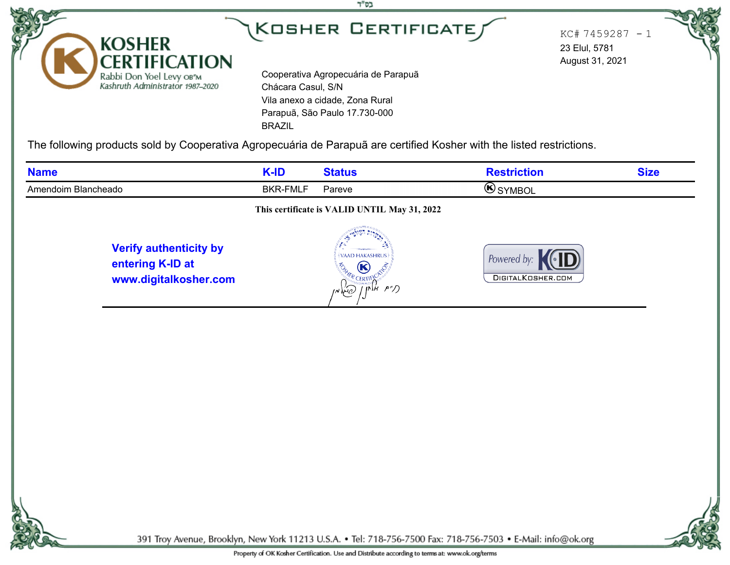

| <b>Name</b>                                                                | K-ID            | <b>Status</b>                                                                       | <b>Restriction</b>                           | <b>Size</b> |
|----------------------------------------------------------------------------|-----------------|-------------------------------------------------------------------------------------|----------------------------------------------|-------------|
| Amendoim Blancheado                                                        | <b>BKR-FMLF</b> | Pareve                                                                              | <b>SYMBOL</b>                                |             |
|                                                                            |                 | This certificate is VALID UNTIL May 31, 2022                                        |                                              |             |
| <b>Verify authenticity by</b><br>entering K-ID at<br>www.digitalkosher.com |                 | VAAD HAKASHRUS<br><b>LOSHER</b><br>w<br><b>CERT</b><br>$\sqrt{n}$ $\kappa$ $\gamma$ | Powered by: <b>(ID)</b><br>DIGITALKOSHER.COM |             |



391 Troy Avenue, Brooklyn, New York 11213 U.S.A. . Tel: 718-756-7500 Fax: 718-756-7503 . E-Mail: info@ok.org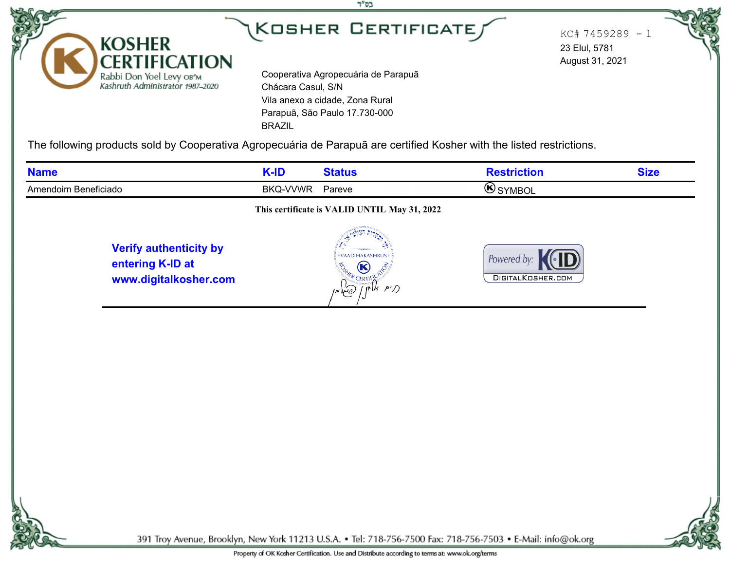

| <b>Name</b>                                                                | K-ID            | <b>Status</b>                                                                | <b>Restriction</b>               | <b>Size</b> |
|----------------------------------------------------------------------------|-----------------|------------------------------------------------------------------------------|----------------------------------|-------------|
| Amendoim Beneficiado                                                       | <b>BKQ-VVWR</b> | Pareve                                                                       | <b>B</b> SYMBOL                  |             |
|                                                                            |                 | This certificate is VALID UNTIL May 31, 2022                                 |                                  |             |
| <b>Verify authenticity by</b><br>entering K-ID at<br>www.digitalkosher.com |                 | VAAD HAKASHRUS<br><b>TOSHER</b><br><b>K</b><br>$I^{\wedge K}$ $P''$<br>@ אוי | Powered by:<br>DIGITALKOSHER.COM |             |



391 Troy Avenue, Brooklyn, New York 11213 U.S.A. . Tel: 718-756-7500 Fax: 718-756-7503 . E-Mail: info@ok.org